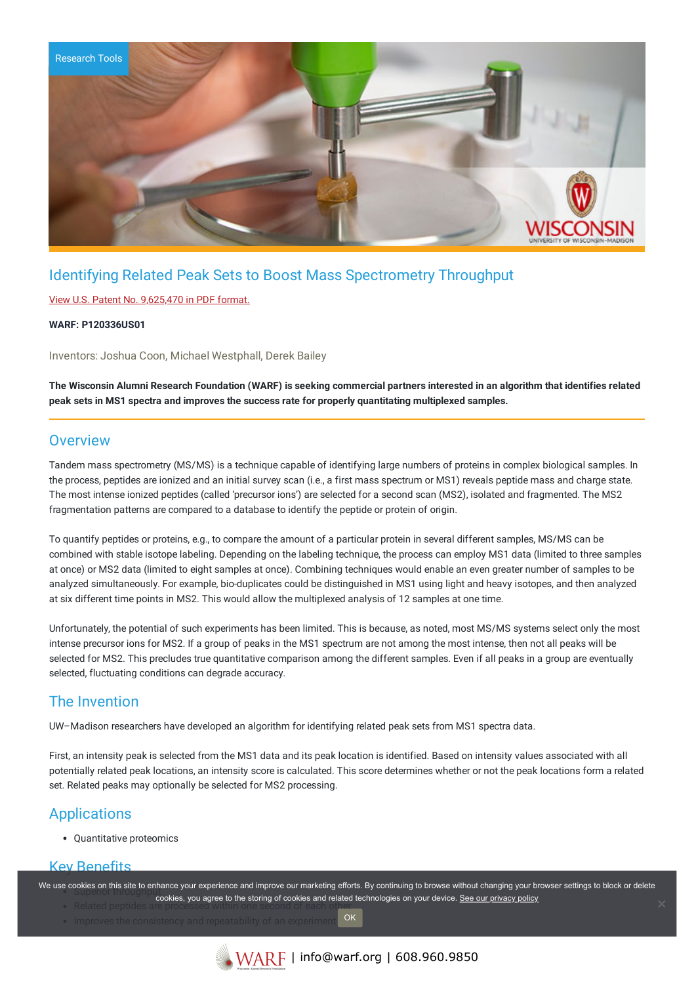

## Identifying Related Peak Sets to Boost Mass Spectrometry Throughput

### View U.S. Patent No. [9,625,470](https://www.warf.org/wp-content/uploads/technologies/ipstatus/P120336US01.pdf) in PDF format.

#### **WARF: P120336US01**

Inventors: Joshua Coon, Michael Westphall, Derek Bailey

The Wisconsin Alumni Research Foundation (WARF) is seeking commercial partners interested in an algorithm that identifies related **peak sets in MS1 spectra and improves the success rate for properly quantitating multiplexed samples.**

## **Overview**

Tandem mass spectrometry (MS/MS) is a technique capable of identifying large numbers of proteins in complex biological samples. In the process, peptides are ionized and an initial survey scan (i.e., a first mass spectrum or MS1) reveals peptide mass and charge state. The most intense ionized peptides (called 'precursor ions') are selected for a second scan (MS2), isolated and fragmented. The MS2 fragmentation patterns are compared to a database to identify the peptide or protein of origin.

To quantify peptides or proteins, e.g., to compare the amount of a particular protein in several different samples, MS/MS can be combined with stable isotope labeling. Depending on the labeling technique, the process can employ MS1 data (limited to three samples at once) or MS2 data (limited to eight samples at once). Combining techniques would enable an even greater number of samples to be analyzed simultaneously. For example, bio-duplicates could be distinguished in MS1 using light and heavy isotopes, and then analyzed at six different time points in MS2. This would allow the multiplexed analysis of 12 samples at one time.

Unfortunately, the potential of such experiments has been limited. This is because, as noted, most MS/MS systems select only the most intense precursor ions for MS2. If a group of peaks in the MS1 spectrum are not among the most intense, then not all peaks will be selected for MS2. This precludes true quantitative comparison among the different samples. Even if all peaks in a group are eventually selected, fluctuating conditions can degrade accuracy.

## The Invention

UW–Madison researchers have developed an algorithm for identifying related peak sets from MS1 spectra data.

First, an intensity peak is selected from the MS1 data and its peak location is identified. Based on intensity values associated with all potentially related peak locations, an intensity score is calculated. This score determines whether or not the peak locations form a related set. Related peaks may optionally be selected for MS2 processing.

## Applications

Quantitative proteomics

## Key Benefits

We use cookies on this site to enhance your experience and improve our marketing efforts. By continuing to browse without changing your browser settings to block or delete

- Related peptides are processed within one second of each other. cookies, you agree to the storing of cookies and related technologies on your device. [See our privacy policy](https://www.warf.org/privacy-policy/)
	- OK